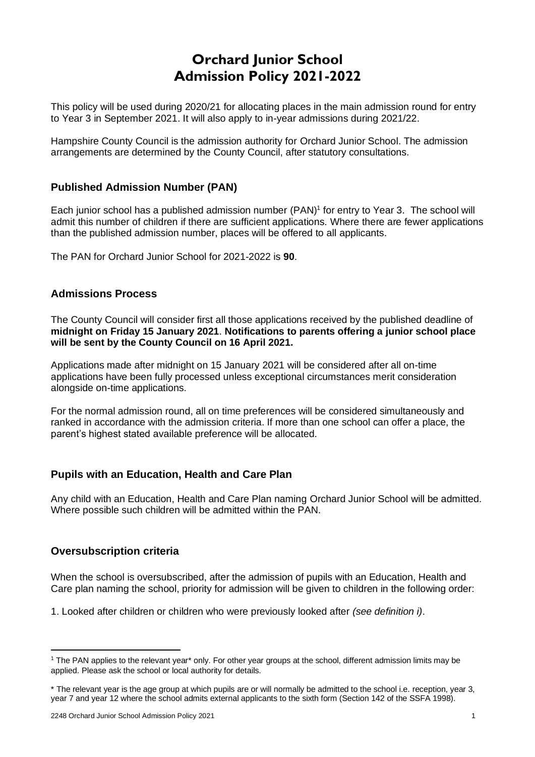# **Orchard Junior School Admission Policy 2021-2022**

This policy will be used during 2020/21 for allocating places in the main admission round for entry to Year 3 in September 2021. It will also apply to in-year admissions during 2021/22.

Hampshire County Council is the admission authority for Orchard Junior School. The admission arrangements are determined by the County Council, after statutory consultations.

# **Published Admission Number (PAN)**

Each junior school has a published admission number (PAN) 1 for entry to Year 3. The school will admit this number of children if there are sufficient applications. Where there are fewer applications than the published admission number, places will be offered to all applicants.

The PAN for Orchard Junior School for 2021-2022 is **90**.

### **Admissions Process**

The County Council will consider first all those applications received by the published deadline of **midnight on Friday 15 January 2021**. **Notifications to parents offering a junior school place will be sent by the County Council on 16 April 2021.**

Applications made after midnight on 15 January 2021 will be considered after all on-time applications have been fully processed unless exceptional circumstances merit consideration alongside on-time applications.

For the normal admission round, all on time preferences will be considered simultaneously and ranked in accordance with the admission criteria. If more than one school can offer a place, the parent's highest stated available preference will be allocated.

#### **Pupils with an Education, Health and Care Plan**

Any child with an Education, Health and Care Plan naming Orchard Junior School will be admitted. Where possible such children will be admitted within the PAN.

#### **Oversubscription criteria**

When the school is oversubscribed, after the admission of pupils with an Education, Health and Care plan naming the school, priority for admission will be given to children in the following order:

1. Looked after children or children who were previously looked after *(see definition i)*.

 $1$  The PAN applies to the relevant year\* only. For other year groups at the school, different admission limits may be applied. Please ask the school or local authority for details.

<sup>\*</sup> The relevant year is the age group at which pupils are or will normally be admitted to the school i.e. reception, year 3, year 7 and year 12 where the school admits external applicants to the sixth form (Section 142 of the SSFA 1998).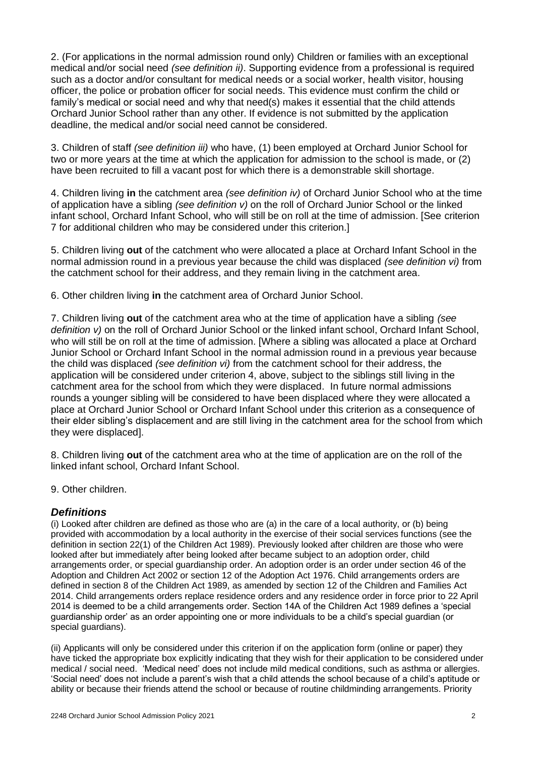2. (For applications in the normal admission round only) Children or families with an exceptional medical and/or social need *(see definition ii)*. Supporting evidence from a professional is required such as a doctor and/or consultant for medical needs or a social worker, health visitor, housing officer, the police or probation officer for social needs. This evidence must confirm the child or family's medical or social need and why that need(s) makes it essential that the child attends Orchard Junior School rather than any other. If evidence is not submitted by the application deadline, the medical and/or social need cannot be considered.

3. Children of staff *(see definition iii)* who have, (1) been employed at Orchard Junior School for two or more years at the time at which the application for admission to the school is made, or (2) have been recruited to fill a vacant post for which there is a demonstrable skill shortage.

4. Children living **in** the catchment area *(see definition iv)* of Orchard Junior School who at the time of application have a sibling *(see definition v)* on the roll of Orchard Junior School or the linked infant school, Orchard Infant School, who will still be on roll at the time of admission. [See criterion 7 for additional children who may be considered under this criterion.]

5. Children living **out** of the catchment who were allocated a place at Orchard Infant School in the normal admission round in a previous year because the child was displaced *(see definition vi)* from the catchment school for their address, and they remain living in the catchment area.

6. Other children living **in** the catchment area of Orchard Junior School.

7. Children living **out** of the catchment area who at the time of application have a sibling *(see*  definition v) on the roll of Orchard Junior School or the linked infant school. Orchard Infant School. who will still be on roll at the time of admission. [Where a sibling was allocated a place at Orchard Junior School or Orchard Infant School in the normal admission round in a previous year because the child was displaced *(see definition vi)* from the catchment school for their address, the application will be considered under criterion 4, above, subject to the siblings still living in the catchment area for the school from which they were displaced. In future normal admissions rounds a younger sibling will be considered to have been displaced where they were allocated a place at Orchard Junior School or Orchard Infant School under this criterion as a consequence of their elder sibling's displacement and are still living in the catchment area for the school from which they were displaced].

8. Children living **out** of the catchment area who at the time of application are on the roll of the linked infant school, Orchard Infant School.

9. Other children.

# *Definitions*

(i) Looked after children are defined as those who are (a) in the care of a local authority, or (b) being provided with accommodation by a local authority in the exercise of their social services functions (see the definition in section 22(1) of the Children Act 1989). Previously looked after children are those who were looked after but immediately after being looked after became subject to an adoption order, child arrangements order, or special guardianship order. An adoption order is an order under section 46 of the Adoption and Children Act 2002 or section 12 of the Adoption Act 1976. Child arrangements orders are defined in section 8 of the Children Act 1989, as amended by section 12 of the Children and Families Act 2014. Child arrangements orders replace residence orders and any residence order in force prior to 22 April 2014 is deemed to be a child arrangements order. Section 14A of the Children Act 1989 defines a 'special guardianship order' as an order appointing one or more individuals to be a child's special guardian (or special guardians).

(ii) Applicants will only be considered under this criterion if on the application form (online or paper) they have ticked the appropriate box explicitly indicating that they wish for their application to be considered under medical / social need. 'Medical need' does not include mild medical conditions, such as asthma or allergies. 'Social need' does not include a parent's wish that a child attends the school because of a child's aptitude or ability or because their friends attend the school or because of routine childminding arrangements. Priority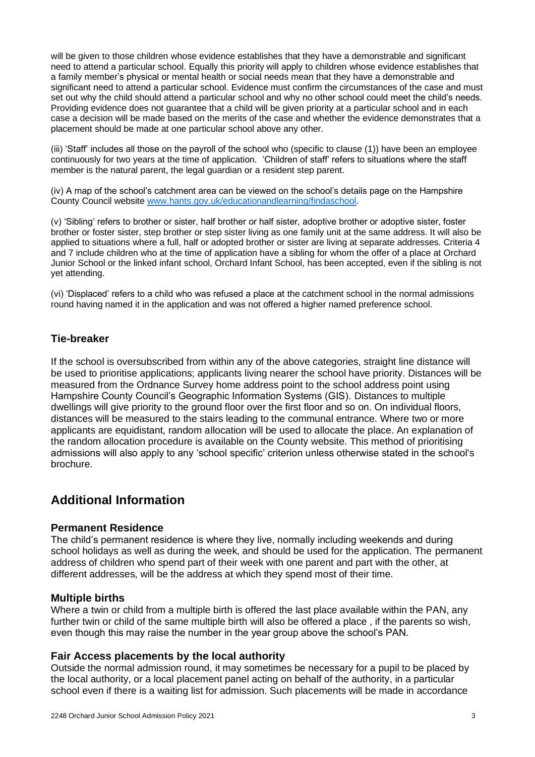will be given to those children whose evidence establishes that they have a demonstrable and significant need to attend a particular school. Equally this priority will apply to children whose evidence establishes that a family member's physical or mental health or social needs mean that they have a demonstrable and significant need to attend a particular school. Evidence must confirm the circumstances of the case and must set out why the child should attend a particular school and why no other school could meet the child's needs. Providing evidence does not guarantee that a child will be given priority at a particular school and in each case a decision will be made based on the merits of the case and whether the evidence demonstrates that a placement should be made at one particular school above any other.

(iii) 'Staff' includes all those on the payroll of the school who (specific to clause (1)) have been an employee continuously for two years at the time of application. 'Children of staff' refers to situations where the staff member is the natural parent, the legal guardian or a resident step parent.

(iv) A map of the school's catchment area can be viewed on the school's details page on the Hampshire County Council website [www.hants.gov.uk/educationandlearning/findaschool.](http://www.hants.gov.uk/educationandlearning/findaschool)

(v) 'Sibling' refers to brother or sister, half brother or half sister, adoptive brother or adoptive sister, foster brother or foster sister, step brother or step sister living as one family unit at the same address. It will also be applied to situations where a full, half or adopted brother or sister are living at separate addresses. Criteria 4 and 7 include children who at the time of application have a sibling for whom the offer of a place at Orchard Junior School or the linked infant school, Orchard Infant School, has been accepted, even if the sibling is not yet attending.

(vi) 'Displaced' refers to a child who was refused a place at the catchment school in the normal admissions round having named it in the application and was not offered a higher named preference school.

# **Tie-breaker**

If the school is oversubscribed from within any of the above categories, straight line distance will be used to prioritise applications; applicants living nearer the school have priority. Distances will be measured from the Ordnance Survey home address point to the school address point using Hampshire County Council's Geographic Information Systems (GIS). Distances to multiple dwellings will give priority to the ground floor over the first floor and so on. On individual floors, distances will be measured to the stairs leading to the communal entrance. Where two or more applicants are equidistant, random allocation will be used to allocate the place. An explanation of the random allocation procedure is available on the County website. This method of prioritising admissions will also apply to any 'school specific' criterion unless otherwise stated in the school's brochure.

# **Additional Information**

#### **Permanent Residence**

The child's permanent residence is where they live, normally including weekends and during school holidays as well as during the week, and should be used for the application. The permanent address of children who spend part of their week with one parent and part with the other, at different addresses, will be the address at which they spend most of their time.

#### **Multiple births**

Where a twin or child from a multiple birth is offered the last place available within the PAN, any further twin or child of the same multiple birth will also be offered a place , if the parents so wish, even though this may raise the number in the year group above the school's PAN.

#### **Fair Access placements by the local authority**

Outside the normal admission round, it may sometimes be necessary for a pupil to be placed by the local authority, or a local placement panel acting on behalf of the authority, in a particular school even if there is a waiting list for admission. Such placements will be made in accordance